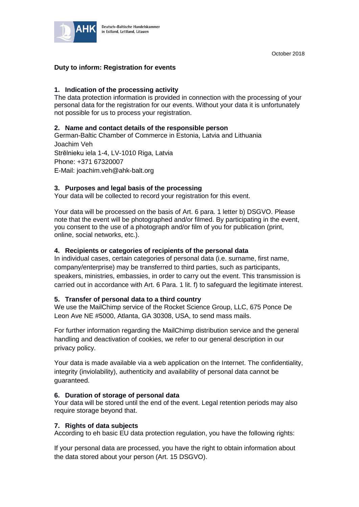

# **Duty to inform: Registration for events**

## **1. Indication of the processing activity**

The data protection information is provided in connection with the processing of your personal data for the registration for our events. Without your data it is unfortunately not possible for us to process your registration.

### **2. Name and contact details of the responsible person**

German-Baltic Chamber of Commerce in Estonia, Latvia and Lithuania Joachim Veh Strēlnieku iela 1-4, LV-1010 Riga, Latvia Phone: +371 67320007 E-Mail: joachim.veh@ahk-balt.org

## **3. Purposes and legal basis of the processing**

Your data will be collected to record your registration for this event.

Your data will be processed on the basis of Art. 6 para. 1 letter b) DSGVO. Please note that the event will be photographed and/or filmed. By participating in the event, you consent to the use of a photograph and/or film of you for publication (print, online, social networks, etc.).

### **4. Recipients or categories of recipients of the personal data**

In individual cases, certain categories of personal data (i.e. surname, first name, company/enterprise) may be transferred to third parties, such as participants, speakers, ministries, embassies, in order to carry out the event. This transmission is carried out in accordance with Art. 6 Para. 1 lit. f) to safeguard the legitimate interest.

#### **5. Transfer of personal data to a third country**

We use the MailChimp service of the Rocket Science Group, LLC, 675 Ponce De Leon Ave NE #5000, Atlanta, GA 30308, USA, to send mass mails.

For further information regarding the MailChimp distribution service and the general handling and deactivation of cookies, we refer to our general description in our privacy policy.

Your data is made available via a web application on the Internet. The confidentiality, integrity (inviolability), authenticity and availability of personal data cannot be guaranteed.

## **6. Duration of storage of personal data**

Your data will be stored until the end of the event. Legal retention periods may also require storage beyond that.

#### **7. Rights of data subjects**

According to eh basic EU data protection regulation, you have the following rights:

If your personal data are processed, you have the right to obtain information about the data stored about your person (Art. 15 DSGVO).